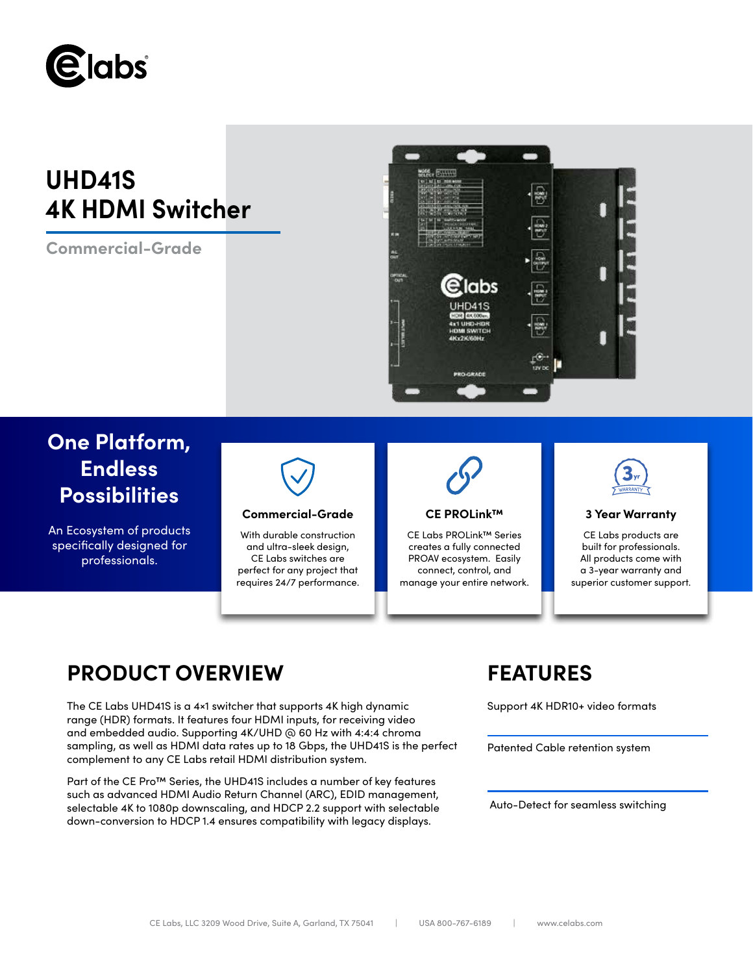

# **UHD41S 4K HDMI Switcher**

**Commercial-Grade**



# **One Platform, Endless Possibilities**

An Ecosystem of products specifically designed for professionals.



## **Commercial-Grade CE PROLink™ 3 Year Warranty**

With durable construction and ultra-sleek design, CE Labs switches are perfect for any project that requires 24/7 performance.



CE Labs PROLink™ Series creates a fully connected PROAV ecosystem. Easily connect, control, and manage your entire network.



CE Labs products are built for professionals. All products come with a 3-year warranty and superior customer support.

## **PRODUCT OVERVIEW FEATURES**

The CE Labs UHD41S is a 4×1 switcher that supports 4K high dynamic range (HDR) formats. It features four HDMI inputs, for receiving video and embedded audio. Supporting 4K/UHD @ 60 Hz with 4:4:4 chroma sampling, as well as HDMI data rates up to 18 Gbps, the UHD41S is the perfect complement to any CE Labs retail HDMI distribution system.

Part of the CE Pro™ Series, the UHD41S includes a number of key features such as advanced HDMI Audio Return Channel (ARC), EDID management, selectable 4K to 1080p downscaling, and HDCP 2.2 support with selectable down-conversion to HDCP 1.4 ensures compatibility with legacy displays.

Support 4K HDR10+ video formats

Patented Cable retention system

Auto-Detect for seamless switching